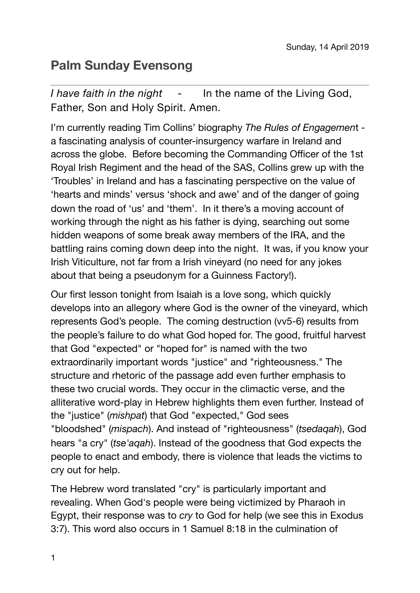## **Palm Sunday Evensong**

*I have faith in the night* - In the name of the Living God, Father, Son and Holy Spirit. Amen.

I'm currently reading Tim Collins' biography *The Rules of Engagemen*t a fascinating analysis of counter-insurgency warfare in Ireland and across the globe. Before becoming the Commanding Officer of the 1st Royal Irish Regiment and the head of the SAS, Collins grew up with the 'Troubles' in Ireland and has a fascinating perspective on the value of 'hearts and minds' versus 'shock and awe' and of the danger of going down the road of 'us' and 'them'. In it there's a moving account of working through the night as his father is dying, searching out some hidden weapons of some break away members of the IRA, and the battling rains coming down deep into the night. It was, if you know your Irish Viticulture, not far from a Irish vineyard (no need for any jokes about that being a pseudonym for a Guinness Factory!).

Our first lesson tonight from Isaiah is a love song, which quickly develops into an allegory where God is the owner of the vineyard, which represents God's people. The coming destruction (vv5-6) results from the people's failure to do what God hoped for. The good, fruitful harvest that God "expected" or "hoped for" is named with the two extraordinarily important words "justice" and "righteousness." The structure and rhetoric of the passage add even further emphasis to these two crucial words. They occur in the climactic verse, and the alliterative word-play in Hebrew highlights them even further. Instead of the "justice" (*mishpat*) that God "expected," God sees "bloodshed" (*mispach*). And instead of "righteousness" (*tsedaqah*), God hears "a cry" (*tse'aqah*). Instead of the goodness that God expects the people to enact and embody, there is violence that leads the victims to cry out for help.

The Hebrew word translated "cry" is particularly important and revealing. When God's people were being victimized by Pharaoh in Egypt, their response was to *cry* to God for help (we see this in Exodus 3:7). This word also occurs in 1 Samuel 8:18 in the culmination of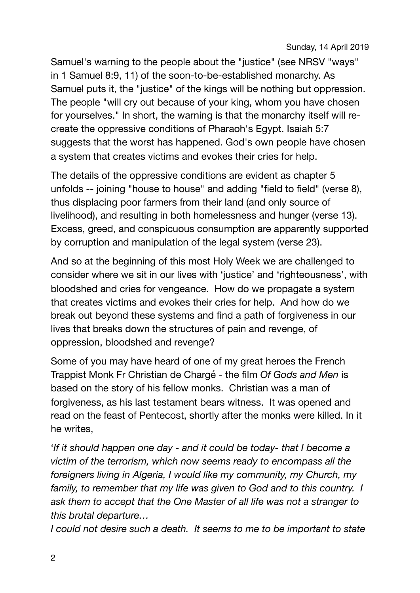Samuel's warning to the people about the "justice" (see NRSV "ways" in 1 Samuel 8:9, 11) of the soon-to-be-established monarchy. As Samuel puts it, the "justice" of the kings will be nothing but oppression. The people "will cry out because of your king, whom you have chosen for yourselves." In short, the warning is that the monarchy itself will recreate the oppressive conditions of Pharaoh's Egypt. Isaiah 5:7 suggests that the worst has happened. God's own people have chosen a system that creates victims and evokes their cries for help.

The details of the oppressive conditions are evident as chapter 5 unfolds -- joining "house to house" and adding "field to field" (verse 8), thus displacing poor farmers from their land (and only source of livelihood), and resulting in both homelessness and hunger (verse 13). Excess, greed, and conspicuous consumption are apparently supported by corruption and manipulation of the legal system (verse 23).

And so at the beginning of this most Holy Week we are challenged to consider where we sit in our lives with 'justice' and 'righteousness', with bloodshed and cries for vengeance. How do we propagate a system that creates victims and evokes their cries for help. And how do we break out beyond these systems and find a path of forgiveness in our lives that breaks down the structures of pain and revenge, of oppression, bloodshed and revenge?

Some of you may have heard of one of my great heroes the French Trappist Monk Fr Christian de Chargé - the film *Of Gods and Men* is based on the story of his fellow monks. Christian was a man of forgiveness, as his last testament bears witness. It was opened and read on the feast of Pentecost, shortly after the monks were killed. In it he writes,

'*If it should happen one day - and it could be today- that I become a victim of the terrorism, which now seems ready to encompass all the foreigners living in Algeria, I would like my community, my Church, my*  family, to remember that my life was given to God and to this country. I *ask them to accept that the One Master of all life was not a stranger to this brutal departure…*

*I* could not desire such a death. It seems to me to be important to state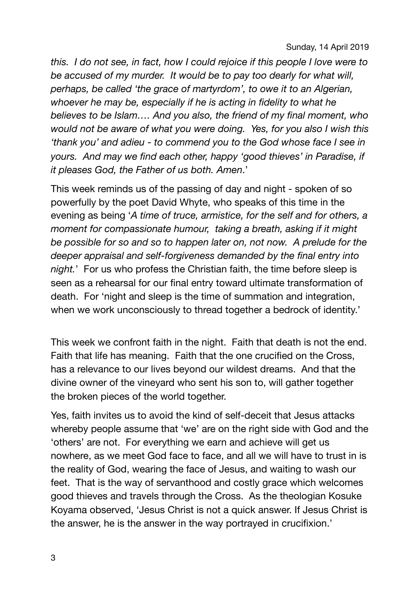*this. I do not see, in fact, how I could rejoice if this people I love were to be accused of my murder. It would be to pay too dearly for what will, perhaps, be called 'the grace of martyrdom', to owe it to an Algerian, whoever he may be, especially if he is acting in fidelity to what he believes to be Islam…. And you also, the friend of my final moment, who would not be aware of what you were doing. Yes, for you also I wish this 'thank you' and adieu - to commend you to the God whose face I see in yours. And may we find each other, happy 'good thieves' in Paradise, if it pleases God, the Father of us both. Amen*.'

This week reminds us of the passing of day and night - spoken of so powerfully by the poet David Whyte, who speaks of this time in the evening as being '*A time of truce, armistice, for the self and for others, a moment for compassionate humour, taking a breath, asking if it might be possible for so and so to happen later on, not now. A prelude for the deeper appraisal and self-forgiveness demanded by the final entry into night.*' For us who profess the Christian faith, the time before sleep is seen as a rehearsal for our final entry toward ultimate transformation of death. For 'night and sleep is the time of summation and integration, when we work unconsciously to thread together a bedrock of identity.'

This week we confront faith in the night. Faith that death is not the end. Faith that life has meaning. Faith that the one crucified on the Cross, has a relevance to our lives beyond our wildest dreams. And that the divine owner of the vineyard who sent his son to, will gather together the broken pieces of the world together.

Yes, faith invites us to avoid the kind of self-deceit that Jesus attacks whereby people assume that 'we' are on the right side with God and the 'others' are not. For everything we earn and achieve will get us nowhere, as we meet God face to face, and all we will have to trust in is the reality of God, wearing the face of Jesus, and waiting to wash our feet. That is the way of servanthood and costly grace which welcomes good thieves and travels through the Cross. As the theologian Kosuke Koyama observed, 'Jesus Christ is not a quick answer. If Jesus Christ is the answer, he is the answer in the way portrayed in crucifixion.'